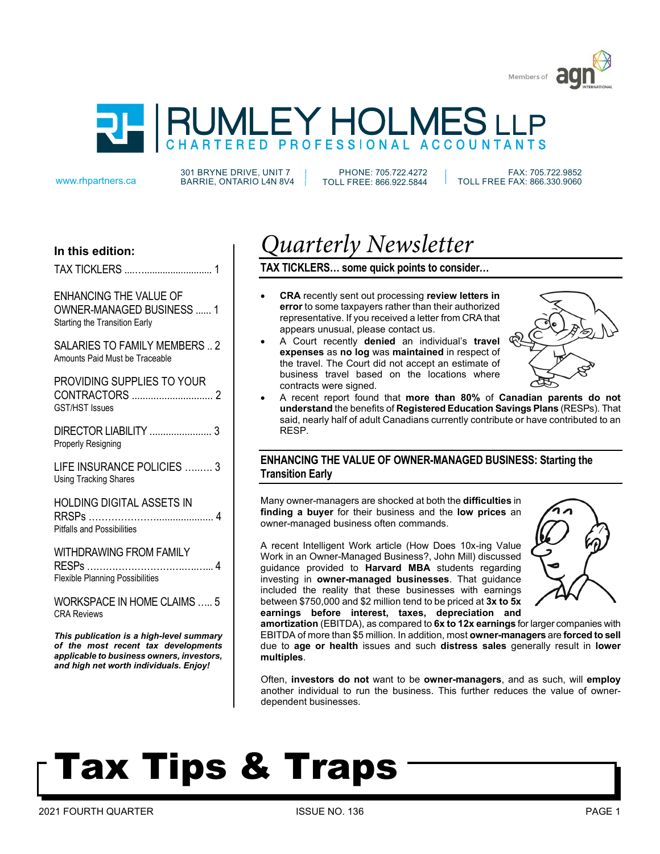



301 BRYNE DRIVE, UNIT 7 www.rhpartners.ca BARRIE, ONTARIO L4N 8V4

PHONE: 705.722.4272 TOLL FREE: 866.922.5844

 FAX: 705.722.9852 TOLL FREE FAX: 866.330.9060

# **In this edition:**

TAX TICKLERS ....….......................... 1

ENHANCING THE VALUE OF OWNER-MANAGED BUSINESS ...... 1 Starting the Transition Early

SALARIES TO FAMILY MEMBERS .. 2 Amounts Paid Must be Traceable

PROVIDING SUPPLIES TO YOUR CONTRACTORS .............................. 2 GST/HST Issues

DIRECTOR LIABILITY ....................... 3 Properly Resigning

LIFE INSURANCE POLICIES …..…. 3 Using Tracking Shares

HOLDING DIGITAL ASSETS IN RRSPs …………………..................... 4 Pitfalls and Possibilities

WITHDRAWING FROM FAMILY RESPs ………………………….….…... 4 Flexible Planning Possibilities

WORKSPACE IN HOME CLAIMS ….. 5 CRA Reviews

*This publication is a high-level summary of the most recent tax developments applicable to business owners, investors, and high net worth individuals. Enjoy!* 

# *Quarterly Newsletter*

**TAX TICKLERS… some quick points to consider…**

- **CRA** recently sent out processing **review letters in error** to some taxpayers rather than their authorized representative. If you received a letter from CRA that appears unusual, please contact us.
- A Court recently **denied** an individual's **travel expenses** as **no log** was **maintained** in respect of the travel. The Court did not accept an estimate of business travel based on the locations where contracts were signed.



• A recent report found that **more than 80%** of **Canadian parents do not understand** the benefits of **Registered Education Savings Plans** (RESPs). That said, nearly half of adult Canadians currently contribute or have contributed to an RESP.

# **ENHANCING THE VALUE OF OWNER-MANAGED BUSINESS: Starting the Transition Early**

Many owner-managers are shocked at both the **difficulties** in **finding a buyer** for their business and the **low prices** an owner-managed business often commands.

A recent Intelligent Work article (How Does 10x-ing Value Work in an Owner-Managed Business?, John Mill) discussed guidance provided to **Harvard MBA** students regarding investing in **owner-managed businesses**. That guidance included the reality that these businesses with earnings between \$750,000 and \$2 million tend to be priced at **3x to 5x earnings before interest, taxes, depreciation and**



**amortization** (EBITDA), as compared to **6x to 12x earnings** for larger companies with EBITDA of more than \$5 million. In addition, most **owner-managers** are **forced to sell** due to **age or health** issues and such **distress sales** generally result in **lower multiples**.

Often, **investors do not** want to be **owner-managers**, and as such, will **employ** another individual to run the business. This further reduces the value of ownerdependent businesses.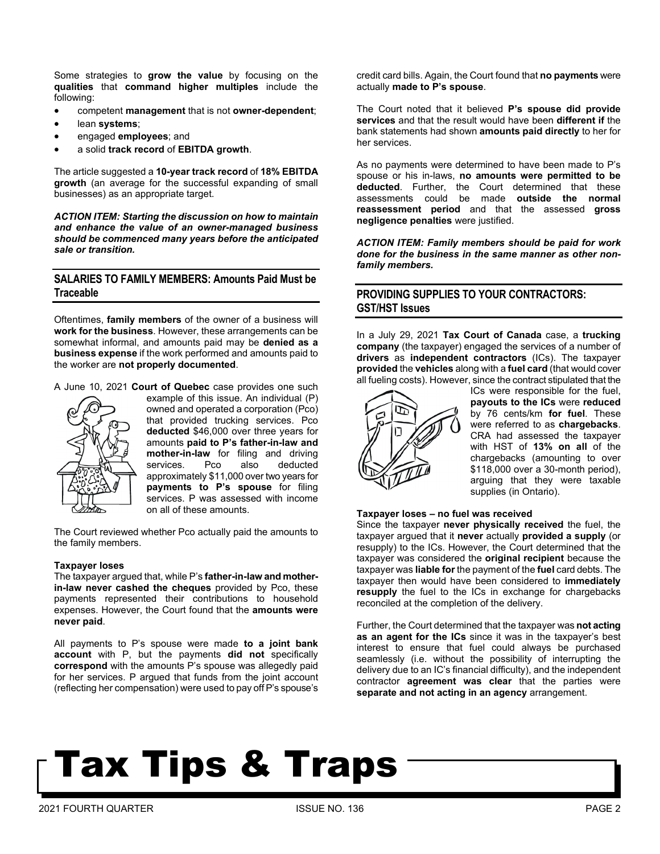Some strategies to **grow the value** by focusing on the **qualities** that **command higher multiples** include the following:

- competent **management** that is not **owner-dependent**;
- lean **systems**;
- engaged **employees**; and
- a solid **track record** of **EBITDA growth**.

The article suggested a **10-year track record** of **18% EBITDA growth** (an average for the successful expanding of small businesses) as an appropriate target.

*ACTION ITEM: Starting the discussion on how to maintain and enhance the value of an owner-managed business should be commenced many years before the anticipated sale or transition.*

## **SALARIES TO FAMILY MEMBERS: Amounts Paid Must be Traceable**

Oftentimes, **family members** of the owner of a business will **work for the business**. However, these arrangements can be somewhat informal, and amounts paid may be **denied as a business expense** if the work performed and amounts paid to the worker are **not properly documented**.

A June 10, 2021 **Court of Quebec** case provides one such



example of this issue. An individual (P) owned and operated a corporation (Pco) that provided trucking services. Pco **deducted** \$46,000 over three years for amounts **paid to P's father-in-law and mother-in-law** for filing and driving<br>services. Pco also deducted services. Pco also deducted approximately \$11,000 over two years for **payments to P's spouse** for filing services. P was assessed with income on all of these amounts.

The Court reviewed whether Pco actually paid the amounts to the family members.

#### **Taxpayer loses**

The taxpayer argued that, while P's **father-in-law and motherin-law never cashed the cheques** provided by Pco, these payments represented their contributions to household expenses. However, the Court found that the **amounts were never paid**.

All payments to P's spouse were made **to a joint bank account** with P, but the payments **did not** specifically **correspond** with the amounts P's spouse was allegedly paid for her services. P argued that funds from the joint account (reflecting her compensation) were used to pay off P's spouse's credit card bills. Again, the Court found that **no payments** were actually **made to P's spouse**.

The Court noted that it believed **P's spouse did provide services** and that the result would have been **different if** the bank statements had shown **amounts paid directly** to her for her services.

As no payments were determined to have been made to P's spouse or his in-laws, **no amounts were permitted to be deducted**. Further, the Court determined that these assessments could be made **outside the normal reassessment period** and that the assessed **gross negligence penalties** were justified.

*ACTION ITEM: Family members should be paid for work done for the business in the same manner as other nonfamily members.*

## **PROVIDING SUPPLIES TO YOUR CONTRACTORS: GST/HST Issues**

In a July 29, 2021 **Tax Court of Canada** case, a **trucking company** (the taxpayer) engaged the services of a number of **drivers** as **independent contractors** (ICs). The taxpayer **provided** the **vehicles** along with a **fuel card** (that would cover all fueling costs). However, since the contract stipulated that the



ICs were responsible for the fuel, **payouts to the ICs** were **reduced** by 76 cents/km **for fuel**. These were referred to as **chargebacks**. CRA had assessed the taxpayer with HST of **13% on all** of the chargebacks (amounting to over \$118,000 over a 30-month period), arguing that they were taxable supplies (in Ontario).

#### **Taxpayer loses – no fuel was received**

Since the taxpayer **never physically received** the fuel, the taxpayer argued that it **never** actually **provided a supply** (or resupply) to the ICs. However, the Court determined that the taxpayer was considered the **original recipient** because the taxpayer was **liable for** the payment of the **fuel** card debts. The taxpayer then would have been considered to **immediately resupply** the fuel to the ICs in exchange for chargebacks reconciled at the completion of the delivery.

Further, the Court determined that the taxpayer was **not acting as an agent for the ICs** since it was in the taxpayer's best interest to ensure that fuel could always be purchased seamlessly (i.e. without the possibility of interrupting the delivery due to an IC's financial difficulty), and the independent contractor **agreement was clear** that the parties were **separate and not acting in an agency** arrangement.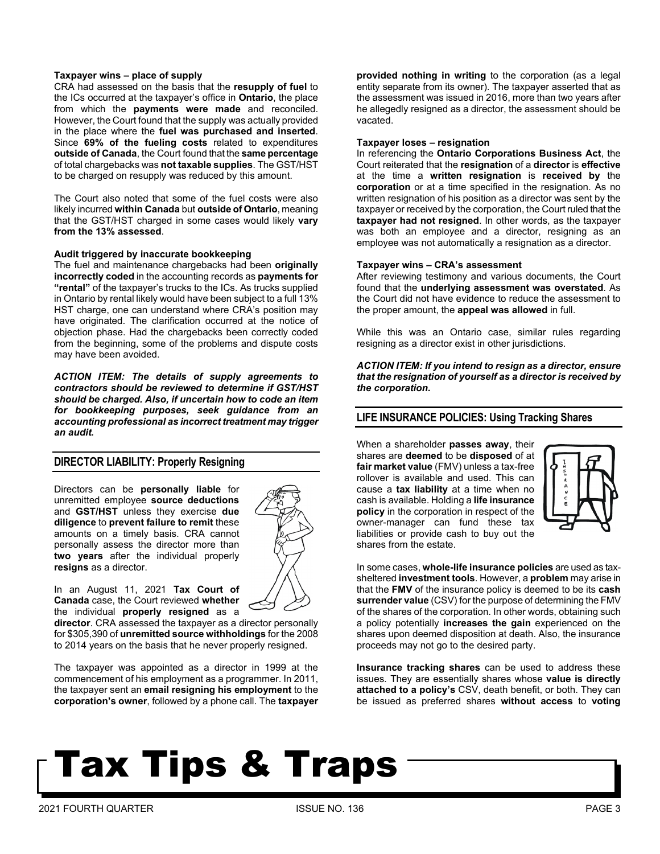#### **Taxpayer wins – place of supply**

CRA had assessed on the basis that the **resupply of fuel** to the ICs occurred at the taxpayer's office in **Ontario**, the place from which the **payments were made** and reconciled. However, the Court found that the supply was actually provided in the place where the **fuel was purchased and inserted**. Since **69% of the fueling costs** related to expenditures **outside of Canada**, the Court found that the **same percentage** of total chargebacks was **not taxable supplies**. The GST/HST to be charged on resupply was reduced by this amount.

The Court also noted that some of the fuel costs were also likely incurred **within Canada** but **outside of Ontario**, meaning that the GST/HST charged in some cases would likely **vary from the 13% assessed**.

#### **Audit triggered by inaccurate bookkeeping**

The fuel and maintenance chargebacks had been **originally incorrectly coded** in the accounting records as **payments for "rental"** of the taxpayer's trucks to the ICs. As trucks supplied in Ontario by rental likely would have been subject to a full 13% HST charge, one can understand where CRA's position may have originated. The clarification occurred at the notice of objection phase. Had the chargebacks been correctly coded from the beginning, some of the problems and dispute costs may have been avoided.

*ACTION ITEM: The details of supply agreements to contractors should be reviewed to determine if GST/HST should be charged. Also, if uncertain how to code an item for bookkeeping purposes, seek guidance from an accounting professional as incorrect treatment may trigger an audit.*

### **DIRECTOR LIABILITY: Properly Resigning**

Directors can be **personally liable** for unremitted employee **source deductions** and **GST/HST** unless they exercise **due diligence** to **prevent failure to remit** these amounts on a timely basis. CRA cannot personally assess the director more than **two years** after the individual properly **resigns** as a director.



In an August 11, 2021 **Tax Court of Canada** case, the Court reviewed **whether** the individual **properly resigned** as a

**director**. CRA assessed the taxpayer as a director personally for \$305,390 of **unremitted source withholdings** for the 2008 to 2014 years on the basis that he never properly resigned.

The taxpayer was appointed as a director in 1999 at the commencement of his employment as a programmer. In 2011, the taxpayer sent an **email resigning his employment** to the **corporation's owner**, followed by a phone call. The **taxpayer**  **provided nothing in writing** to the corporation (as a legal entity separate from its owner). The taxpayer asserted that as the assessment was issued in 2016, more than two years after he allegedly resigned as a director, the assessment should be vacated.

#### **Taxpayer loses – resignation**

In referencing the **Ontario Corporations Business Act**, the Court reiterated that the **resignation** of a **director** is **effective** at the time a **written resignation** is **received by** the **corporation** or at a time specified in the resignation. As no written resignation of his position as a director was sent by the taxpayer or received by the corporation, the Court ruled that the **taxpayer had not resigned**. In other words, as the taxpayer was both an employee and a director, resigning as an employee was not automatically a resignation as a director.

#### **Taxpayer wins – CRA's assessment**

After reviewing testimony and various documents, the Court found that the **underlying assessment was overstated**. As the Court did not have evidence to reduce the assessment to the proper amount, the **appeal was allowed** in full.

While this was an Ontario case, similar rules regarding resigning as a director exist in other jurisdictions.

*ACTION ITEM: If you intend to resign as a director, ensure that the resignation of yourself as a director is received by the corporation.*

### **LIFE INSURANCE POLICIES: Using Tracking Shares**

When a shareholder **passes away**, their shares are **deemed** to be **disposed** of at **fair market value** (FMV) unless a tax-free rollover is available and used. This can cause a **tax liability** at a time when no cash is available. Holding a **life insurance policy** in the corporation in respect of the owner-manager can fund these tax liabilities or provide cash to buy out the shares from the estate.



In some cases, **whole-life insurance policies** are used as taxsheltered **investment tools**. However, a **problem** may arise in that the **FMV** of the insurance policy is deemed to be its **cash surrender value** (CSV) for the purpose of determining the FMV of the shares of the corporation. In other words, obtaining such a policy potentially **increases the gain** experienced on the shares upon deemed disposition at death. Also, the insurance proceeds may not go to the desired party.

**Insurance tracking shares** can be used to address these issues. They are essentially shares whose **value is directly attached to a policy's** CSV, death benefit, or both. They can be issued as preferred shares **without access** to **voting**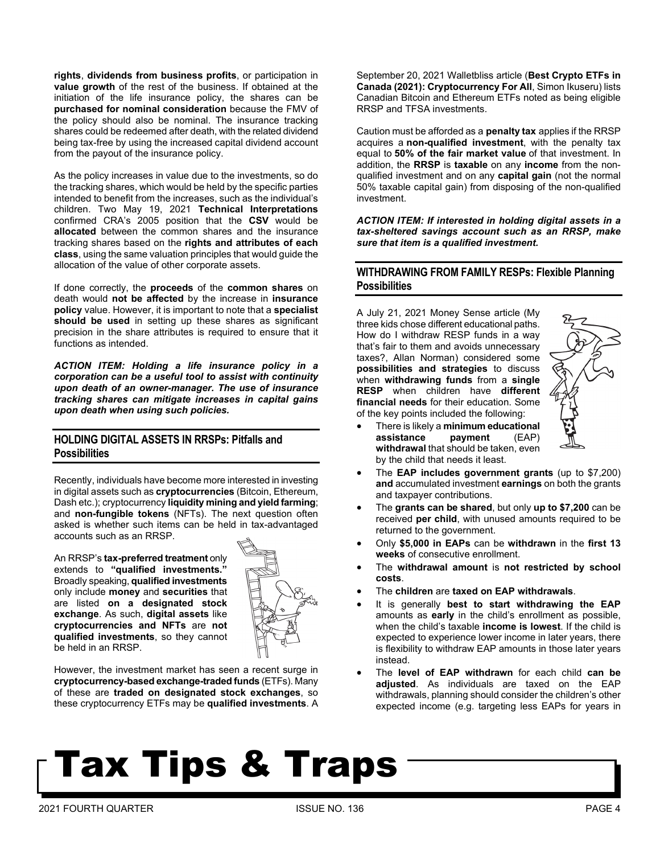**rights**, **dividends from business profits**, or participation in **value growth** of the rest of the business. If obtained at the initiation of the life insurance policy, the shares can be **purchased for nominal consideration** because the FMV of the policy should also be nominal. The insurance tracking shares could be redeemed after death, with the related dividend being tax-free by using the increased capital dividend account from the payout of the insurance policy.

As the policy increases in value due to the investments, so do the tracking shares, which would be held by the specific parties intended to benefit from the increases, such as the individual's children. Two May 19, 2021 **Technical Interpretations** confirmed CRA's 2005 position that the **CSV** would be **allocated** between the common shares and the insurance tracking shares based on the **rights and attributes of each class**, using the same valuation principles that would guide the allocation of the value of other corporate assets.

If done correctly, the **proceeds** of the **common shares** on death would **not be affected** by the increase in **insurance policy** value. However, it is important to note that a **specialist should be used** in setting up these shares as significant precision in the share attributes is required to ensure that it functions as intended.

*ACTION ITEM: Holding a life insurance policy in a corporation can be a useful tool to assist with continuity upon death of an owner-manager. The use of insurance tracking shares can mitigate increases in capital gains upon death when using such policies.*

### **HOLDING DIGITAL ASSETS IN RRSPs: Pitfalls and Possibilities**

Recently, individuals have become more interested in investing in digital assets such as **cryptocurrencies** (Bitcoin, Ethereum, Dash etc.); cryptocurrency **liquidity mining and yield farming**; and **non-fungible tokens** (NFTs). The next question often asked is whether such items can be held in tax-advantaged accounts such as an RRSP.

An RRSP's **tax-preferred treatment** only extends to **"qualified investments."** Broadly speaking, **qualified investments** only include **money** and **securities** that are listed **on a designated stock exchange**. As such, **digital assets** like **cryptocurrencies and NFTs** are **not qualified investments**, so they cannot be held in an RRSP.



However, the investment market has seen a recent surge in **cryptocurrency-based exchange-traded funds** (ETFs). Many of these are **traded on designated stock exchanges**, so these cryptocurrency ETFs may be **qualified investments**. A September 20, 2021 Walletbliss article (**Best Crypto ETFs in Canada (2021): Cryptocurrency For All**, Simon Ikuseru) lists Canadian Bitcoin and Ethereum ETFs noted as being eligible RRSP and TFSA investments.

Caution must be afforded as a **penalty tax** applies if the RRSP acquires a **non-qualified investment**, with the penalty tax equal to **50% of the fair market value** of that investment. In addition, the **RRSP** is **taxable** on any **income** from the nonqualified investment and on any **capital gain** (not the normal 50% taxable capital gain) from disposing of the non-qualified investment.

*ACTION ITEM: If interested in holding digital assets in a tax-sheltered savings account such as an RRSP, make sure that item is a qualified investment.*

### **WITHDRAWING FROM FAMILY RESPs: Flexible Planning Possibilities**

A July 21, 2021 Money Sense article (My three kids chose different educational paths. How do I withdraw RESP funds in a way that's fair to them and avoids unnecessary taxes?, Allan Norman) considered some **possibilities and strategies** to discuss when **withdrawing funds** from a **single RESP** when children have **different financial needs** for their education. Some of the key points included the following:



- There is likely a **minimum educational assistance payment** (EAP) **withdrawal** that should be taken, even by the child that needs it least.
- The **EAP includes government grants** (up to \$7,200) **and** accumulated investment **earnings** on both the grants and taxpayer contributions.
- The **grants can be shared**, but only **up to \$7,200** can be received **per child**, with unused amounts required to be returned to the government.
- Only **\$5,000 in EAPs** can be **withdrawn** in the **first 13 weeks** of consecutive enrollment.
- The **withdrawal amount** is **not restricted by school costs**.
- The **children** are **taxed on EAP withdrawals**.
- It is generally **best to start withdrawing the EAP** amounts as **early** in the child's enrollment as possible, when the child's taxable **income is lowest**. If the child is expected to experience lower income in later years, there is flexibility to withdraw EAP amounts in those later years instead.
- The **level of EAP withdrawn** for each child **can be adjusted**. As individuals are taxed on the EAP withdrawals, planning should consider the children's other expected income (e.g. targeting less EAPs for years in